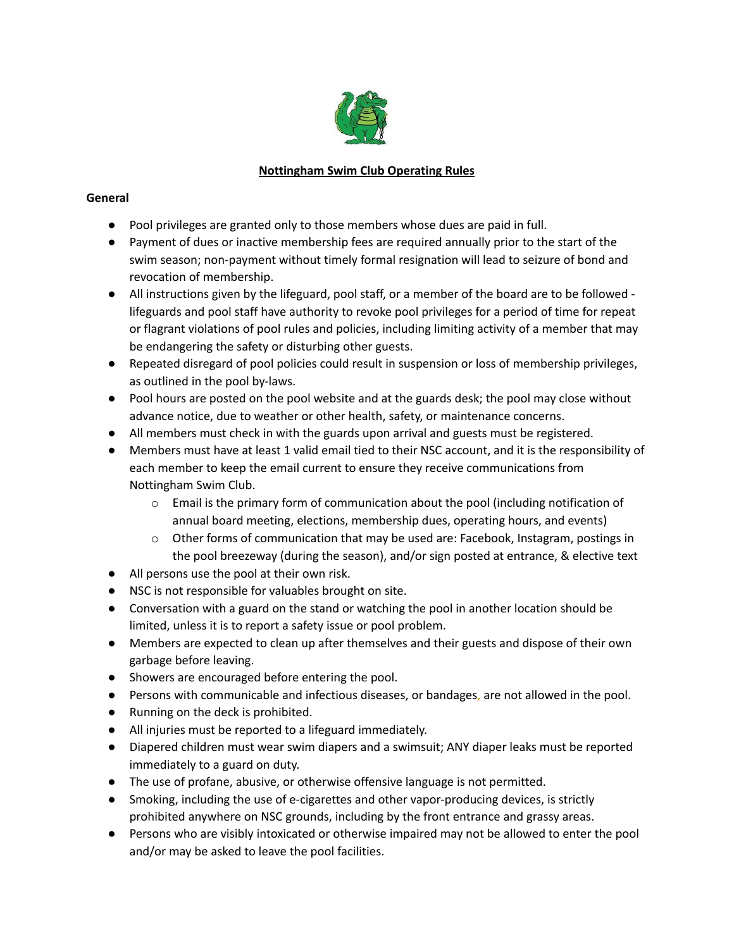

# **Nottingham Swim Club Operating Rules**

### **General**

- Pool privileges are granted only to those members whose dues are paid in full.
- Payment of dues or inactive membership fees are required annually prior to the start of the swim season; non-payment without timely formal resignation will lead to seizure of bond and revocation of membership.
- All instructions given by the lifeguard, pool staff, or a member of the board are to be followed lifeguards and pool staff have authority to revoke pool privileges for a period of time for repeat or flagrant violations of pool rules and policies, including limiting activity of a member that may be endangering the safety or disturbing other guests.
- Repeated disregard of pool policies could result in suspension or loss of membership privileges, as outlined in the pool by-laws.
- Pool hours are posted on the pool website and at the guards desk; the pool may close without advance notice, due to weather or other health, safety, or maintenance concerns.
- All members must check in with the guards upon arrival and guests must be registered.
- Members must have at least 1 valid email tied to their NSC account, and it is the responsibility of each member to keep the email current to ensure they receive communications from Nottingham Swim Club.
	- $\circ$  Email is the primary form of communication about the pool (including notification of annual board meeting, elections, membership dues, operating hours, and events)
	- o Other forms of communication that may be used are: Facebook, Instagram, postings in the pool breezeway (during the season), and/or sign posted at entrance, & elective text
- All persons use the pool at their own risk.
- NSC is not responsible for valuables brought on site.
- Conversation with a guard on the stand or watching the pool in another location should be limited, unless it is to report a safety issue or pool problem.
- Members are expected to clean up after themselves and their guests and dispose of their own garbage before leaving.
- Showers are encouraged before entering the pool.
- Persons with communicable and infectious diseases, or bandages, are not allowed in the pool.
- Running on the deck is prohibited.
- All injuries must be reported to a lifeguard immediately.
- Diapered children must wear swim diapers and a swimsuit; ANY diaper leaks must be reported immediately to a guard on duty.
- The use of profane, abusive, or otherwise offensive language is not permitted.
- Smoking, including the use of e-cigarettes and other vapor-producing devices, is strictly prohibited anywhere on NSC grounds, including by the front entrance and grassy areas.
- Persons who are visibly intoxicated or otherwise impaired may not be allowed to enter the pool and/or may be asked to leave the pool facilities.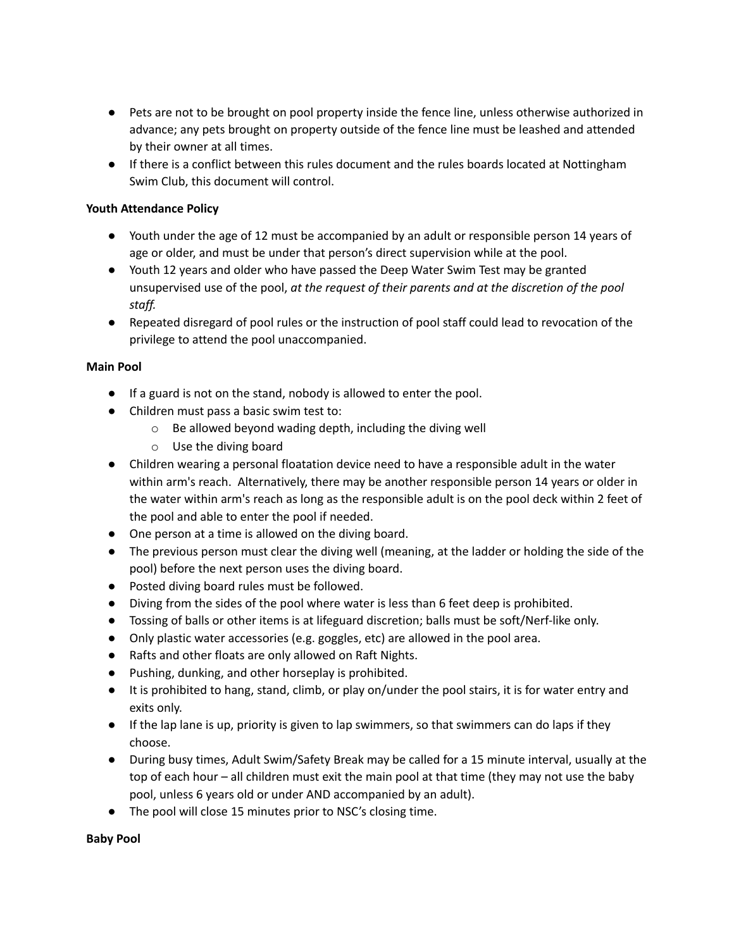- Pets are not to be brought on pool property inside the fence line, unless otherwise authorized in advance; any pets brought on property outside of the fence line must be leashed and attended by their owner at all times.
- If there is a conflict between this rules document and the rules boards located at Nottingham Swim Club, this document will control.

### **Youth Attendance Policy**

- Youth under the age of 12 must be accompanied by an adult or responsible person 14 years of age or older, and must be under that person's direct supervision while at the pool.
- Youth 12 years and older who have passed the Deep Water Swim Test may be granted unsupervised use of the pool, *at the request of their parents and at the discretion of the pool staff.*
- Repeated disregard of pool rules or the instruction of pool staff could lead to revocation of the privilege to attend the pool unaccompanied.

#### **Main Pool**

- If a guard is not on the stand, nobody is allowed to enter the pool.
- Children must pass a basic swim test to:
	- o Be allowed beyond wading depth, including the diving well
	- o Use the diving board
- Children wearing a personal floatation device need to have a responsible adult in the water within arm's reach. Alternatively, there may be another responsible person 14 years or older in the water within arm's reach as long as the responsible adult is on the pool deck within 2 feet of the pool and able to enter the pool if needed.
- One person at a time is allowed on the diving board.
- The previous person must clear the diving well (meaning, at the ladder or holding the side of the pool) before the next person uses the diving board.
- Posted diving board rules must be followed.
- Diving from the sides of the pool where water is less than 6 feet deep is prohibited.
- Tossing of balls or other items is at lifeguard discretion; balls must be soft/Nerf-like only.
- Only plastic water accessories (e.g. goggles, etc) are allowed in the pool area.
- Rafts and other floats are only allowed on Raft Nights.
- Pushing, dunking, and other horseplay is prohibited.
- It is prohibited to hang, stand, climb, or play on/under the pool stairs, it is for water entry and exits only.
- If the lap lane is up, priority is given to lap swimmers, so that swimmers can do laps if they choose.
- During busy times, Adult Swim/Safety Break may be called for a 15 minute interval, usually at the top of each hour – all children must exit the main pool at that time (they may not use the baby pool, unless 6 years old or under AND accompanied by an adult).
- The pool will close 15 minutes prior to NSC's closing time.

**Baby Pool**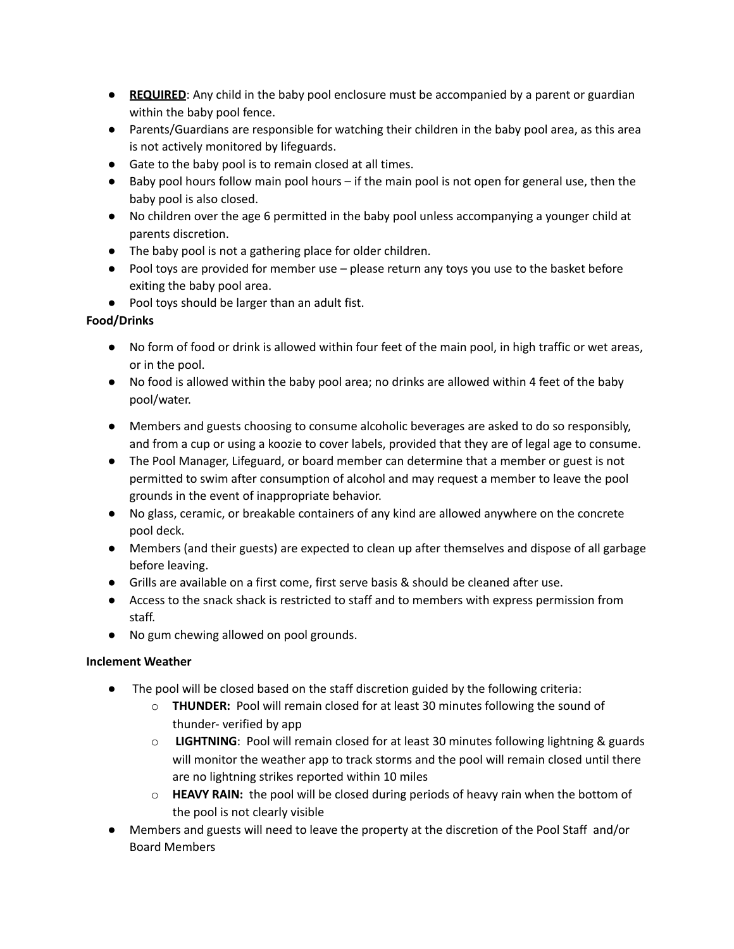- **REQUIRED:** Any child in the baby pool enclosure must be accompanied by a parent or guardian within the baby pool fence.
- Parents/Guardians are responsible for watching their children in the baby pool area, as this area is not actively monitored by lifeguards.
- Gate to the baby pool is to remain closed at all times.
- Baby pool hours follow main pool hours if the main pool is not open for general use, then the baby pool is also closed.
- No children over the age 6 permitted in the baby pool unless accompanying a younger child at parents discretion.
- The baby pool is not a gathering place for older children.
- Pool toys are provided for member use please return any toys you use to the basket before exiting the baby pool area.
- Pool toys should be larger than an adult fist.

## **Food/Drinks**

- No form of food or drink is allowed within four feet of the main pool, in high traffic or wet areas, or in the pool.
- No food is allowed within the baby pool area; no drinks are allowed within 4 feet of the baby pool/water.
- Members and guests choosing to consume alcoholic beverages are asked to do so responsibly, and from a cup or using a koozie to cover labels, provided that they are of legal age to consume.
- The Pool Manager, Lifeguard, or board member can determine that a member or guest is not permitted to swim after consumption of alcohol and may request a member to leave the pool grounds in the event of inappropriate behavior.
- No glass, ceramic, or breakable containers of any kind are allowed anywhere on the concrete pool deck.
- Members (and their guests) are expected to clean up after themselves and dispose of all garbage before leaving.
- Grills are available on a first come, first serve basis & should be cleaned after use.
- Access to the snack shack is restricted to staff and to members with express permission from staff.
- No gum chewing allowed on pool grounds.

## **Inclement Weather**

- The pool will be closed based on the staff discretion guided by the following criteria:
	- o **THUNDER:** Pool will remain closed for at least 30 minutes following the sound of thunder- verified by app
	- o **LIGHTNING**: Pool will remain closed for at least 30 minutes following lightning & guards will monitor the weather app to track storms and the pool will remain closed until there are no lightning strikes reported within 10 miles
	- o **HEAVY RAIN:** the pool will be closed during periods of heavy rain when the bottom of the pool is not clearly visible
- Members and guests will need to leave the property at the discretion of the Pool Staff and/or Board Members